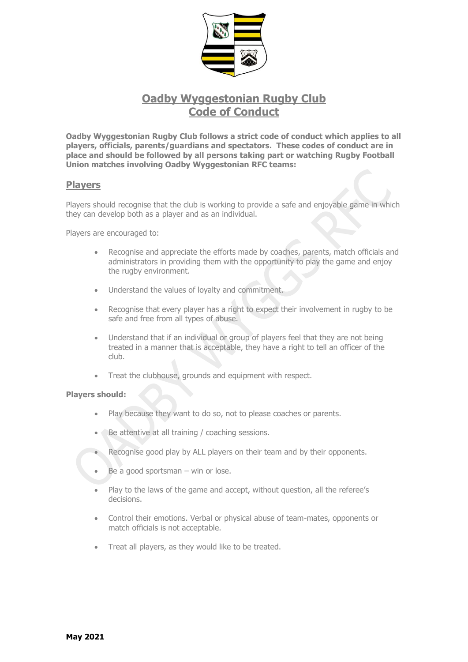

# **Oadby Wyggestonian Rugby Club Code of Conduct**

**Oadby Wyggestonian Rugby Club follows a strict code of conduct which applies to all players, officials, parents/guardians and spectators. These codes of conduct are in place and should be followed by all persons taking part or watching Rugby Football Union matches involving Oadby Wyggestonian RFC teams:**

# **Players**

Players should recognise that the club is working to provide a safe and enjoyable game in which they can develop both as a player and as an individual.

Players are encouraged to:

- Recognise and appreciate the efforts made by coaches, parents, match officials and administrators in providing them with the opportunity to play the game and enjoy the rugby environment.
- Understand the values of loyalty and commitment.
- Recognise that every player has a right to expect their involvement in rugby to be safe and free from all types of abuse.
- Understand that if an individual or group of players feel that they are not being treated in a manner that is acceptable, they have a right to tell an officer of the club.
- Treat the clubhouse, grounds and equipment with respect.

#### **Players should:**

- Play because they want to do so, not to please coaches or parents.
- Be attentive at all training / coaching sessions.
- Recognise good play by ALL players on their team and by their opponents.
- Be a good sportsman  $-$  win or lose.
- Play to the laws of the game and accept, without question, all the referee's decisions.
- Control their emotions. Verbal or physical abuse of team-mates, opponents or match officials is not acceptable.
- Treat all players, as they would like to be treated.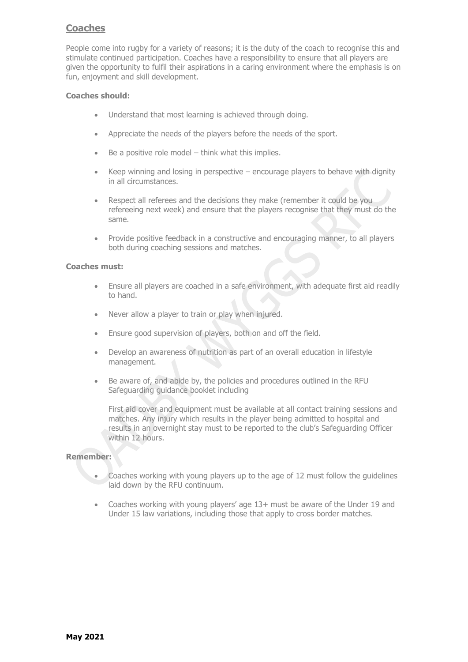# **Coaches**

People come into rugby for a variety of reasons; it is the duty of the coach to recognise this and stimulate continued participation. Coaches have a responsibility to ensure that all players are given the opportunity to fulfil their aspirations in a caring environment where the emphasis is on fun, enjoyment and skill development.

# **Coaches should:**

- Understand that most learning is achieved through doing.
- Appreciate the needs of the players before the needs of the sport.
- Be a positive role model  $-$  think what this implies.
- Keep winning and losing in perspective  $-$  encourage players to behave with dignity in all circumstances.
- Respect all referees and the decisions they make (remember it could be you refereeing next week) and ensure that the players recognise that they must do the same.
- Provide positive feedback in a constructive and encouraging manner, to all players both during coaching sessions and matches.

#### **Coaches must:**

- Ensure all players are coached in a safe environment, with adequate first aid readily to hand.
- Never allow a player to train or play when injured.
- Ensure good supervision of players, both on and off the field.
- Develop an awareness of nutrition as part of an overall education in lifestyle management.
- Be aware of, and abide by, the policies and procedures outlined in the RFU Safeguarding guidance booklet including

First aid cover and equipment must be available at all contact training sessions and matches. Any injury which results in the player being admitted to hospital and results in an overnight stay must to be reported to the club's Safeguarding Officer within 12 hours.

#### **Remember:**

- Coaches working with young players up to the age of 12 must follow the guidelines laid down by the RFU continuum.
- Coaches working with young players' age 13+ must be aware of the Under 19 and Under 15 law variations, including those that apply to cross border matches.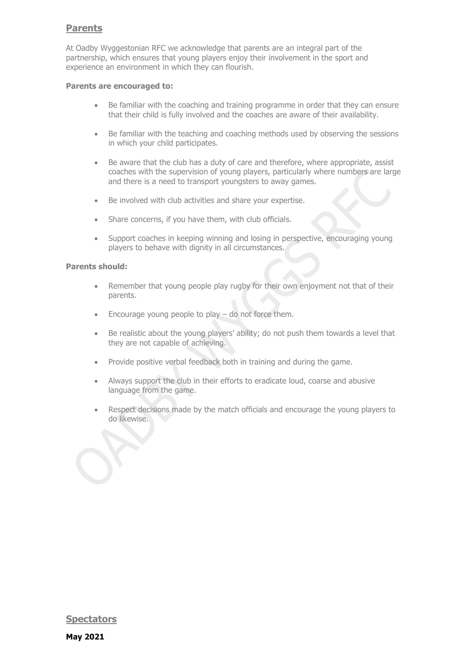# **Parents**

At Oadby Wyggestonian RFC we acknowledge that parents are an integral part of the partnership, which ensures that young players enjoy their involvement in the sport and experience an environment in which they can flourish.

#### **Parents are encouraged to:**

- Be familiar with the coaching and training programme in order that they can ensure that their child is fully involved and the coaches are aware of their availability.
- Be familiar with the teaching and coaching methods used by observing the sessions in which your child participates.
- Be aware that the club has a duty of care and therefore, where appropriate, assist coaches with the supervision of young players, particularly where numbers are large and there is a need to transport youngsters to away games.
- Be involved with club activities and share your expertise.
- Share concerns, if you have them, with club officials.
- Support coaches in keeping winning and losing in perspective, encouraging young players to behave with dignity in all circumstances.

# **Parents should:**

- Remember that young people play rugby for their own enjoyment not that of their parents.
- Encourage young people to play do not force them.
- Be realistic about the young players' ability; do not push them towards a level that they are not capable of achieving.
- Provide positive verbal feedback both in training and during the game.
- Always support the club in their efforts to eradicate loud, coarse and abusive language from the game.
- Respect decisions made by the match officials and encourage the young players to do likewise.

**Spectators**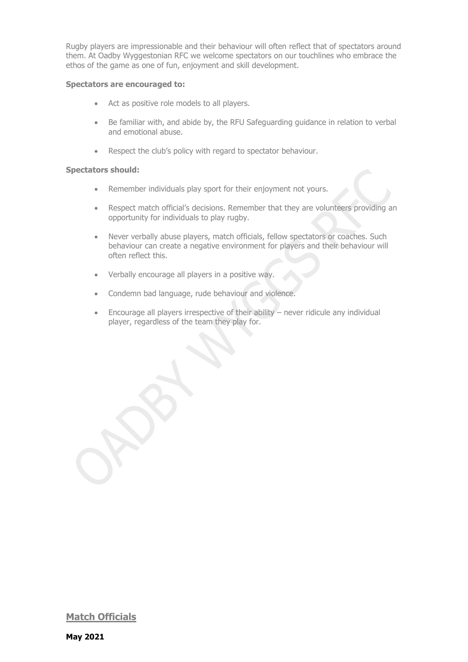Rugby players are impressionable and their behaviour will often reflect that of spectators around them. At Oadby Wyggestonian RFC we welcome spectators on our touchlines who embrace the ethos of the game as one of fun, enjoyment and skill development.

#### **Spectators are encouraged to:**

- Act as positive role models to all players.
- Be familiar with, and abide by, the RFU Safeguarding guidance in relation to verbal and emotional abuse.
- Respect the club's policy with regard to spectator behaviour.

# **Spectators should:**

- Remember individuals play sport for their enjoyment not yours.
- Respect match official's decisions. Remember that they are volunteers providing an opportunity for individuals to play rugby.
- Never verbally abuse players, match officials, fellow spectators or coaches. Such behaviour can create a negative environment for players and their behaviour will often reflect this.
- Verbally encourage all players in a positive way.
- Condemn bad language, rude behaviour and violence.
- Encourage all players irrespective of their ability never ridicule any individual player, regardless of the team they play for.

**Match Officials**